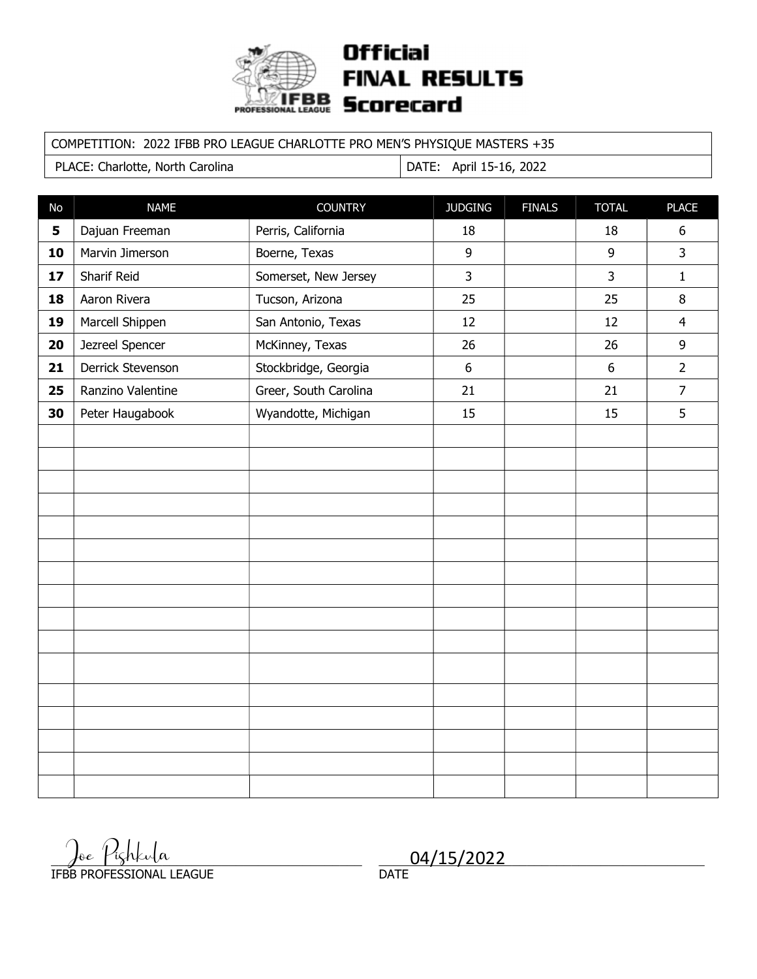

### **Official FINAL RESULTS Scorecard**

### COMPETITION: 2022 IFBB PRO LEAGUE CHARLOTTE PRO MEN'S PHYSIQUE MASTERS +35

PLACE: Charlotte, North Carolina | DATE: April 15-16, 2022

| No | <b>NAME</b>       | <b>COUNTRY</b>        | <b>JUDGING</b> | <b>FINALS</b> | <b>TOTAL</b>   | <b>PLACE</b>   |
|----|-------------------|-----------------------|----------------|---------------|----------------|----------------|
| 5  | Dajuan Freeman    | Perris, California    | 18             |               | 18             | $6\,$          |
| 10 | Marvin Jimerson   | Boerne, Texas         | 9              |               | 9              | $\overline{3}$ |
| 17 | Sharif Reid       | Somerset, New Jersey  | $\overline{3}$ |               | $\overline{3}$ | $\mathbf{1}$   |
| 18 | Aaron Rivera      | Tucson, Arizona       | 25             |               | 25             | 8              |
| 19 | Marcell Shippen   | San Antonio, Texas    | 12             |               | 12             | $\overline{4}$ |
| 20 | Jezreel Spencer   | McKinney, Texas       | 26             |               | 26             | 9              |
| 21 | Derrick Stevenson | Stockbridge, Georgia  | $6\,$          |               | $6\phantom{a}$ | $\overline{2}$ |
| 25 | Ranzino Valentine | Greer, South Carolina | 21             |               | 21             | $\overline{7}$ |
| 30 | Peter Haugabook   | Wyandotte, Michigan   | 15             |               | 15             | 5              |
|    |                   |                       |                |               |                |                |
|    |                   |                       |                |               |                |                |
|    |                   |                       |                |               |                |                |
|    |                   |                       |                |               |                |                |
|    |                   |                       |                |               |                |                |
|    |                   |                       |                |               |                |                |
|    |                   |                       |                |               |                |                |
|    |                   |                       |                |               |                |                |
|    |                   |                       |                |               |                |                |
|    |                   |                       |                |               |                |                |
|    |                   |                       |                |               |                |                |
|    |                   |                       |                |               |                |                |
|    |                   |                       |                |               |                |                |
|    |                   |                       |                |               |                |                |
|    |                   |                       |                |               |                |                |
|    |                   |                       |                |               |                |                |

 $\frac{\int_{0}^{16} \int f(\zeta) h(\zeta) d\zeta}{04/15/2022}$ IFBB PROFESSIONAL LEAGUE

04/15/2022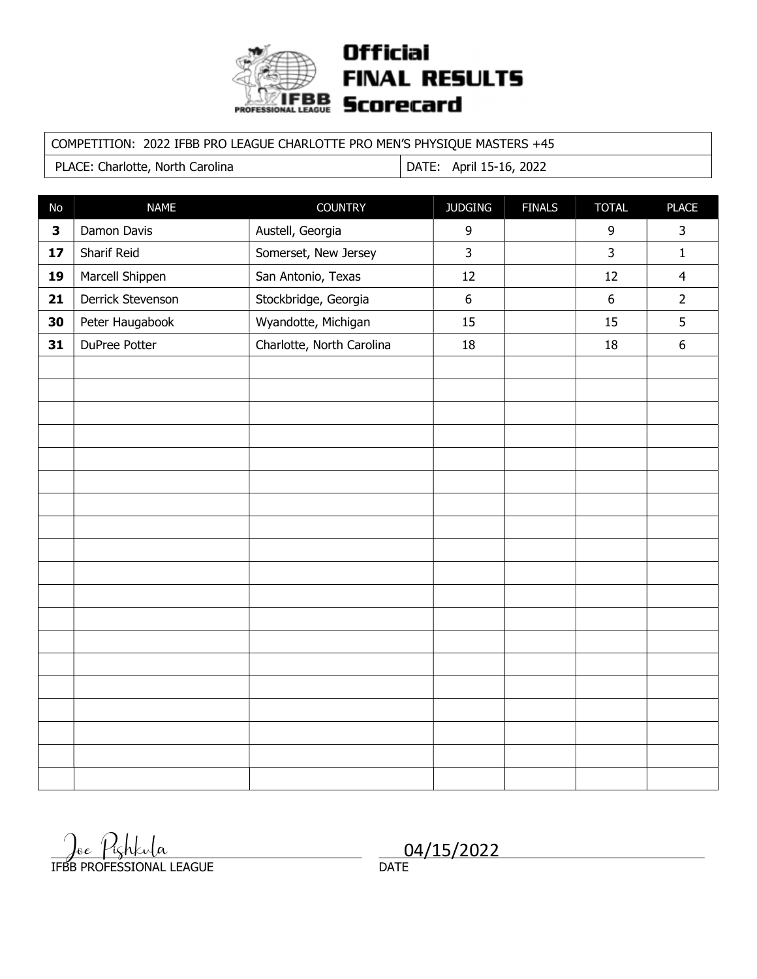

# **Official FINAL RESULTS** Scorecard

### COMPETITION: 2022 IFBB PRO LEAGUE CHARLOTTE PRO MEN'S PHYSIQUE MASTERS +45

PLACE: Charlotte, North Carolina | DATE: April 15-16, 2022

| No           | <b>NAME</b>       | <b>COUNTRY</b>            | <b>JUDGING</b>   | <b>FINALS</b> | <b>TOTAL</b>     | <b>PLACE</b>     |
|--------------|-------------------|---------------------------|------------------|---------------|------------------|------------------|
| $\mathbf{3}$ | Damon Davis       | Austell, Georgia          | 9                |               | 9                | 3                |
| 17           | Sharif Reid       | Somerset, New Jersey      | $\overline{3}$   |               | 3                | $\mathbf{1}$     |
| 19           | Marcell Shippen   | San Antonio, Texas        | 12               |               | 12               | $\overline{4}$   |
| 21           | Derrick Stevenson | Stockbridge, Georgia      | $\boldsymbol{6}$ |               | $\boldsymbol{6}$ | $\overline{2}$   |
| 30           | Peter Haugabook   | Wyandotte, Michigan       | 15               |               | 15               | 5                |
| 31           | DuPree Potter     | Charlotte, North Carolina | 18               |               | 18               | $\boldsymbol{6}$ |
|              |                   |                           |                  |               |                  |                  |
|              |                   |                           |                  |               |                  |                  |
|              |                   |                           |                  |               |                  |                  |
|              |                   |                           |                  |               |                  |                  |
|              |                   |                           |                  |               |                  |                  |
|              |                   |                           |                  |               |                  |                  |
|              |                   |                           |                  |               |                  |                  |
|              |                   |                           |                  |               |                  |                  |
|              |                   |                           |                  |               |                  |                  |
|              |                   |                           |                  |               |                  |                  |
|              |                   |                           |                  |               |                  |                  |
|              |                   |                           |                  |               |                  |                  |
|              |                   |                           |                  |               |                  |                  |
|              |                   |                           |                  |               |                  |                  |
|              |                   |                           |                  |               |                  |                  |
|              |                   |                           |                  |               |                  |                  |
|              |                   |                           |                  |               |                  |                  |
|              |                   |                           |                  |               |                  |                  |
|              |                   |                           |                  |               |                  |                  |

 $\frac{1}{\sqrt{100}}$   $\frac{1}{\sqrt{15}}$   $\frac{1}{\sqrt{15}}$   $\frac{1}{\sqrt{15}}$   $\frac{1}{\sqrt{15}}$   $\frac{1}{\sqrt{15}}$   $\frac{1}{\sqrt{15}}$   $\frac{1}{\sqrt{15}}$   $\frac{1}{\sqrt{15}}$   $\frac{1}{\sqrt{15}}$   $\frac{1}{\sqrt{15}}$   $\frac{1}{\sqrt{15}}$   $\frac{1}{\sqrt{15}}$   $\frac{1}{\sqrt{15}}$   $\frac{1}{\sqrt{15}}$   $\frac{1}{\sqrt{1$ IFBB PROFESSIONAL LEAGUE

04/15/2022